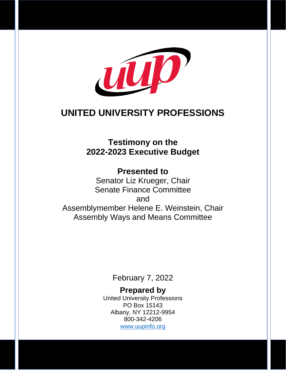

## **UNITED UNIVERSITY PROFESSIONS**

### **Testimony on the 2022-2023 Executive Budget**

**Presented to** Senator Liz Krueger, Chair Senate Finance Committee and Assemblymember Helene E. Weinstein, Chair Assembly Ways and Means Committee

February 7, 2022

**Prepared by** United University Professions PO Box 15143 Albany, NY 12212-9954 800-342-4206 [www.uupinfo.org](http://www.uupinfo.org/)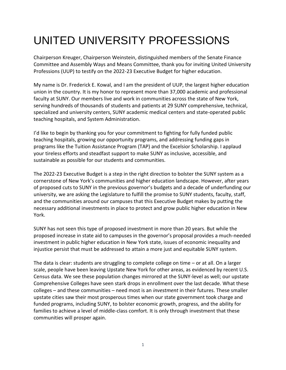# UNITED UNIVERSITY PROFESSIONS

Chairperson Kreuger, Chairperson Weinstein, distinguished members of the Senate Finance Committee and Assembly Ways and Means Committee, thank you for inviting United University Professions (UUP) to testify on the 2022-23 Executive Budget for higher education.

My name is Dr. Frederick E. Kowal, and I am the president of UUP, the largest higher education union in the country. It is my honor to represent more than 37,000 academic and professional faculty at SUNY. Our members live and work in communities across the state of New York, serving hundreds of thousands of students and patients at 29 SUNY comprehensive, technical, specialized and university centers, SUNY academic medical centers and state-operated public teaching hospitals, and System Administration.

I'd like to begin by thanking you for your commitment to fighting for fully funded public teaching hospitals, growing our opportunity programs, and addressing funding gaps in programs like the Tuition Assistance Program (TAP) and the Excelsior Scholarship. I applaud your tireless efforts and steadfast support to make SUNY as inclusive, accessible, and sustainable as possible for our students and communities.

The 2022-23 Executive Budget is a step in the right direction to bolster the SUNY system as a cornerstone of New York's communities and higher education landscape. However, after years of proposed cuts to SUNY in the previous governor's budgets and a decade of underfunding our university, we are asking the Legislature to fulfill the promise to SUNY students, faculty, staff, and the communities around our campuses that this Executive Budget makes by putting the necessary additional investments in place to protect and grow public higher education in New York.

SUNY has not seen this type of proposed investment in more than 20 years. But while the proposed increase in state aid to campuses in the governor's proposal provides a much-needed investment in public higher education in New York state, issues of economic inequality and injustice persist that must be addressed to attain a more just and equitable SUNY system.

The data is clear: students are struggling to complete college on time – or at all. On a larger scale, people have been leaving Upstate New York for other areas, as evidenced by recent U.S. Census data. We see these population changes mirrored at the SUNY-level as well; our upstate Comprehensive Colleges have seen stark drops in enrollment over the last decade. What these colleges – and these communities – need most is an *investment* in their futures. These smaller upstate cities saw their most prosperous times when our state government took charge and funded programs, including SUNY, to bolster economic growth, progress, and the ability for families to achieve a level of middle-class comfort. It is only through investment that these communities will prosper again.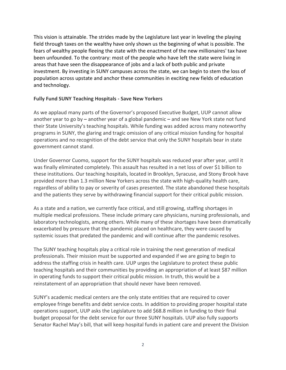This vision is attainable. The strides made by the Legislature last year in leveling the playing field through taxes on the wealthy have only shown us the beginning of what is possible. The fears of wealthy people fleeing the state with the enactment of the new millionaires' tax have been unfounded. To the contrary: most of the people who have left the state were living in areas that have seen the disappearance of jobs and a lack of both public and private investment. By investing in SUNY campuses across the state, we can begin to stem the loss of population across upstate and anchor these communities in exciting new fields of education and technology.

#### **Fully Fund SUNY Teaching Hospitals - Save New Yorkers**

As we applaud many parts of the Governor's proposed Executive Budget, UUP cannot allow another year to go by – another year of a global pandemic – and see New York state not fund their State University's teaching hospitals. While funding was added across many noteworthy programs in SUNY, the glaring and tragic omission of any critical mission funding for hospital operations and no recognition of the debt service that only the SUNY hospitals bear in state government cannot stand.

Under Governor Cuomo, support for the SUNY hospitals was reduced year after year, until it was finally eliminated completely. This assault has resulted in a net loss of over \$1 billion to these institutions. Our teaching hospitals, located in Brooklyn, Syracuse, and Stony Brook have provided more than 1.3 million New Yorkers across the state with high-quality health care, regardless of ability to pay or severity of cases presented. The state abandoned these hospitals and the patients they serve by withdrawing financial support for their critical public mission.

As a state and a nation, we currently face critical, and still growing, staffing shortages in multiple medical professions. These include primary care physicians, nursing professionals, and laboratory technologists, among others. While many of these shortages have been dramatically exacerbated by pressure that the pandemic placed on healthcare, they were caused by systemic issues that predated the pandemic and will continue after the pandemic resolves.

The SUNY teaching hospitals play a critical role in training the next generation of medical professionals. Their mission must be supported and expanded if we are going to begin to address the staffing crisis in health care. UUP urges the Legislature to protect these public teaching hospitals and their communities by providing an appropriation of at least \$87 million in operating funds to support their critical public mission. In truth, this would be a reinstatement of an appropriation that should never have been removed.

SUNY's academic medical centers are the only state entities that are required to cover employee fringe benefits and debt service costs. In addition to providing proper hospital state operations support, UUP asks the Legislature to add \$68.8 million in funding to their final budget proposal for the debt service for our three SUNY hospitals. UUP also fully supports Senator Rachel May's bill, that will keep hospital funds in patient care and prevent the Division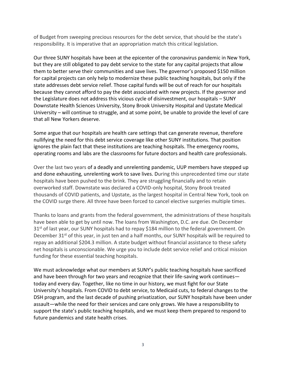of Budget from sweeping precious resources for the debt service, that should be the state's responsibility. It is imperative that an appropriation match this critical legislation.

Our three SUNY hospitals have been at the epicenter of the coronavirus pandemic in New York, but they are still obligated to pay debt service to the state for any capital projects that allow them to better serve their communities and save lives. The governor's proposed \$150 million for capital projects can only help to modernize these public teaching hospitals, but only if the state addresses debt service relief. Those capital funds will be out of reach for our hospitals because they cannot afford to pay the debt associated with new projects. If the governor and the Legislature does not address this vicious cycle of disinvestment, our hospitals – SUNY Downstate Health Sciences University, Stony Brook University Hospital and Upstate Medical University – will continue to struggle, and at some point, be unable to provide the level of care that all New Yorkers deserve.

Some argue that our hospitals are health care settings that can generate revenue, therefore nullifying the need for this debt service coverage like other SUNY institutions. That position ignores the plain fact that these institutions are teaching hospitals. The emergency rooms, operating rooms and labs are the classrooms for future doctors and health care professionals.

Over the last two years of a deadly and unrelenting pandemic, UUP members have stepped up and done exhausting, unrelenting work to save lives. During this unprecedented time our state hospitals have been pushed to the brink. They are struggling financially and to retain overworked staff. Downstate was declared a COVID-only hospital, Stony Brook treated thousands of COVID patients, and Upstate, as the largest hospital in Central New York, took on the COVID surge there. All three have been forced to cancel elective surgeries multiple times.

Thanks to loans and grants from the federal government, the administrations of these hospitals have been able to get by until now. The loans from Washington, D.C. are due. On December 31<sup>st</sup> of last year, our SUNY hospitals had to repay \$184 million to the federal government. On December 31<sup>st</sup> of this year, in just ten and a half months, our SUNY hospitals will be required to repay an additional \$204.3 million. A state budget without financial assistance to these safety net hospitals is unconscionable. We urge you to include debt service relief and critical mission funding for these essential teaching hospitals.

We must acknowledge what our members at SUNY's public teaching hospitals have sacrificed and have been through for two years and recognize that their life-saving work continues today and every day. Together, like no time in our history, we must fight for our State University's hospitals. From COVID to debt service, to Medicaid cuts, to federal changes to the DSH program, and the last decade of pushing privatization, our SUNY hospitals have been under assault—while the need for their services and care only grows. We have a responsibility to support the state's public teaching hospitals, and we must keep them prepared to respond to future pandemics and state health crises.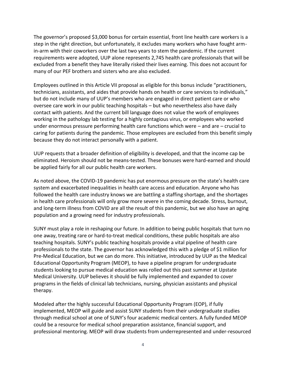The governor's proposed \$3,000 bonus for certain essential, front line health care workers is a step in the right direction, but unfortunately, it excludes many workers who have fought armin-arm with their coworkers over the last two years to stem the pandemic. If the current requirements were adopted, UUP alone represents 2,745 health care professionals that will be excluded from a benefit they have literally risked their lives earning. This does not account for many of our PEF brothers and sisters who are also excluded.

Employees outlined in this Article VII proposal as eligible for this bonus include "practitioners, technicians, assistants, and aides that provide hands on health or care services to individuals," but do not include many of UUP's members who are engaged in direct patient care or who oversee care work in our public teaching hospitals – but who nevertheless also have daily contact with patients. And the current bill language does not value the work of employees working in the pathology lab testing for a highly contagious virus, or employees who worked under enormous pressure performing health care functions which were – and are – crucial to caring for patients during the pandemic. Those employees are excluded from this benefit simply because they do not interact personally with a patient.

UUP requests that a broader definition of eligibility is developed, and that the income cap be eliminated. Heroism should not be means-tested. These bonuses were hard-earned and should be applied fairly for all our public health care workers.

As noted above, the COVID-19 pandemic has put enormous pressure on the state's health care system and exacerbated inequalities in health care access and education. Anyone who has followed the health care industry knows we are battling a staffing shortage, and the shortages in health care professionals will only grow more severe in the coming decade. Stress, burnout, and long-term illness from COVID are all the result of this pandemic, but we also have an aging population and a growing need for industry professionals.

SUNY must play a role in reshaping our future. In addition to being public hospitals that turn no one away, treating rare or hard-to-treat medical conditions, these public hospitals are also teaching hospitals. SUNY's public teaching hospitals provide a vital pipeline of health care professionals to the state. The governor has acknowledged this with a pledge of \$1 million for Pre-Medical Education, but we can do more. This initiative, introduced by UUP as the Medical Educational Opportunity Program (MEOP), to have a pipeline program for undergraduate students looking to pursue medical education was rolled out this past summer at Upstate Medical University. UUP believes it should be fully implemented and expanded to cover programs in the fields of clinical lab technicians, nursing, physician assistants and physical therapy.

Modeled after the highly successful Educational Opportunity Program (EOP), if fully implemented, MEOP will guide and assist SUNY students from their undergraduate studies through medical school at one of SUNY's four academic medical centers. A fully funded MEOP could be a resource for medical school preparation assistance, financial support, and professional mentoring. MEOP will draw students from underrepresented and under-resourced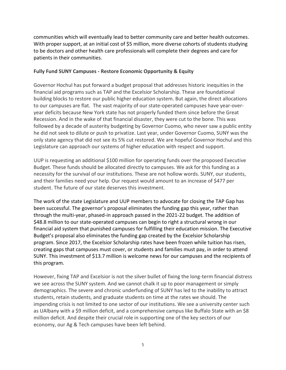communities which will eventually lead to better community care and better health outcomes. With proper support, at an initial cost of \$5 million, more diverse cohorts of students studying to be doctors and other health care professionals will complete their degrees and care for patients in their communities.

#### **Fully Fund SUNY Campuses - Restore Economic Opportunity & Equity**

Governor Hochul has put forward a budget proposal that addresses historic inequities in the financial aid programs such as TAP and the Excelsior Scholarship. These are foundational building blocks to restore our public higher education system. But again, the direct allocations to our campuses are flat. The vast majority of our state-operated campuses have year-overyear deficits because New York state has not properly funded them since before the Great Recession. And in the wake of that financial disaster, they were cut to the bone. This was followed by a decade of austerity budgeting by Governor Cuomo, who never saw a public entity he did not seek to dilute or push to privatize. Last year, under Governor Cuomo, SUNY was the only state agency that did not see its 5% cut restored. We are hopeful Governor Hochul and this Legislature can approach our systems of higher education with respect and support.

UUP is requesting an additional \$100 million for operating funds over the proposed Executive Budget. These funds should be allocated directly to campuses. We ask for this funding as a necessity for the survival of our institutions. These are not hollow words. SUNY, our students, and their families need your help. Our request would amount to an increase of \$477 per student. The future of our state deserves this investment.

The work of the state Legislature and UUP members to advocate for closing the TAP Gap has been successful. The governor's proposal eliminates the funding gap this year, rather than through the multi-year, phased-in approach passed in the 2021-22 budget. The addition of \$48.8 million to our state-operated campuses can begin to right a structural wrong in our financial aid system that punished campuses for fulfilling their education mission. The Executive Budget's proposal also eliminates the funding gap created by the Excelsior Scholarship program. Since 2017, the Excelsior Scholarship rates have been frozen while tuition has risen, creating gaps that campuses must cover, or students and families must pay, in order to attend SUNY. This investment of \$13.7 million is welcome news for our campuses and the recipients of this program.

However, fixing TAP and Excelsior is not the silver bullet of fixing the long-term financial distress we see across the SUNY system. And we cannot chalk it up to poor management or simply demographics. The severe and chronic underfunding of SUNY has led to the inability to attract students, retain students, and graduate students on time at the rates we should. The impending crisis is not limited to one sector of our institutions. We see a university center such as UAlbany with a \$9 million deficit, and a comprehensive campus like Buffalo State with an \$8 million deficit. And despite their crucial role in supporting one of the key sectors of our economy, our Ag & Tech campuses have been left behind.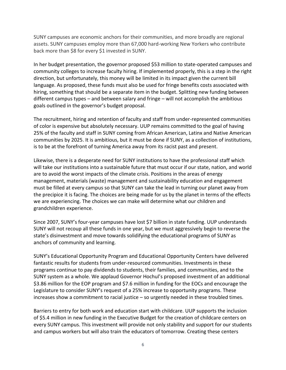SUNY campuses are economic anchors for their communities, and more broadly are regional assets. SUNY campuses employ more than 67,000 hard-working New Yorkers who contribute back more than \$8 for every \$1 invested in SUNY.

In her budget presentation, the governor proposed \$53 million to state-operated campuses and community colleges to increase faculty hiring. If implemented properly, this is a step in the right direction, but unfortunately, this money will be limited in its impact given the current bill language. As proposed, these funds must also be used for fringe benefits costs associated with hiring, something that should be a separate item in the budget. Splitting new funding between different campus types – and between salary and fringe – will not accomplish the ambitious goals outlined in the governor's budget proposal.

The recruitment, hiring and retention of faculty and staff from under-represented communities of color is expensive but absolutely necessary. UUP remains committed to the goal of having 25% of the faculty and staff in SUNY coming from African American, Latinx and Native American communities by 2025. It is ambitious, but it must be done if SUNY, as a collection of institutions, is to be at the forefront of turning America away from its racist past and present.

Likewise, there is a desperate need for SUNY institutions to have the professional staff which will take our institutions into a sustainable future that must occur if our state, nation, and world are to avoid the worst impacts of the climate crisis. Positions in the areas of energy management, materials (waste) management and sustainability education and engagement must be filled at every campus so that SUNY can take the lead in turning our planet away from the precipice it is facing. The choices are being made for us by the planet in terms of the effects we are experiencing. The choices we can make will determine what our children and grandchildren experience.

Since 2007, SUNY's four-year campuses have lost \$7 billion in state funding. UUP understands SUNY will not recoup all these funds in one year, but we must aggressively begin to reverse the state's disinvestment and move towards solidifying the educational programs of SUNY as anchors of community and learning.

SUNY's Educational Opportunity Program and Educational Opportunity Centers have delivered fantastic results for students from under-resourced communities. Investments in these programs continue to pay dividends to students, their families, and communities, and to the SUNY system as a whole. We applaud Governor Hochul's proposed investment of an additional \$3.86 million for the EOP program and \$7.6 million in funding for the EOCs and encourage the Legislature to consider SUNY's request of a 25% increase to opportunity programs. These increases show a commitment to racial justice – so urgently needed in these troubled times.

Barriers to entry for both work and education start with childcare. UUP supports the inclusion of \$5.4 million in new funding in the Executive Budget for the creation of childcare centers on every SUNY campus. This investment will provide not only stability and support for our students and campus workers but will also train the educators of tomorrow. Creating these centers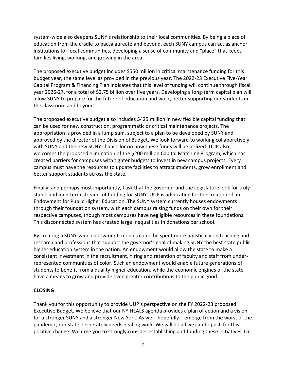system-wide also deepens SUNY's relationship to their local communities. By being a place of education from the cradle to baccalaureate and beyond, each SUNY campus can act as anchor institutions for local communities, developing a sense of community and "place" that keeps families living, working, and growing in the area.

The proposed executive budget includes \$550 million in critical maintenance funding for this budget year, the same level as provided in the previous year. The 2022-23 Executive Five-Year Capital Program & Financing Plan indicates that this level of funding will continue through fiscal year 2026-27, for a total of \$2.75 billion over five years. Developing a long-term capital plan will allow SUNY to prepare for the future of education and work, better supporting our students in the classroom and beyond.

The proposed executive budget also includes \$425 million in new flexible capital funding that can be used for new construction, programmatic or critical maintenance projects. The appropriation is provided in a lump sum, subject to a plan to be developed by SUNY and approved by the director of the Division of Budget. We look forward to working collaboratively with SUNY and the new SUNY chancellor on how these funds will be utilized. UUP also welcomes the proposed elimination of the \$200 million Capital Matching Program, which has created barriers for campuses with tighter budgets to invest in new campus projects. Every campus must have the resources to update facilities to attract students, grow enrollment and better support students across the state.

Finally, and perhaps most importantly, I ask that the governor and the Legislature look for truly stable and long-term streams of funding for SUNY. UUP is advocating for the creation of an Endowment for Public Higher Education. The SUNY system currently houses endowments through their foundation system, with each campus raising funds on their own for their respective campuses, though most campuses have negligible resources in these foundations. This disconnected system has created large inequalities in donations per school.

By creating a SUNY-wide endowment, monies could be spent more holistically on teaching and research and professions that support the governor's goal of making SUNY the best state public higher education system in the nation. An endowment would allow the state to make a consistent investment in the recruitment, hiring and retention of faculty and staff from underrepresented communities of color. Such an endowment would enable future generations of students to benefit from a quality higher education, while the economic engines of the state have a means to grow and provide even greater contributions to the public good.

#### **CLOSING**

Thank you for this opportunity to provide UUP's perspective on the FY 2022-23 proposed Executive Budget. We believe that our NY HEALS agenda provides a plan of action and a vision for a stronger SUNY and a stronger New York. As we – hopefully – emerge from the worst of the pandemic, our state desperately needs healing work. We will do all we can to push for this positive change. We urge you to strongly consider establishing and funding these initiatives. On